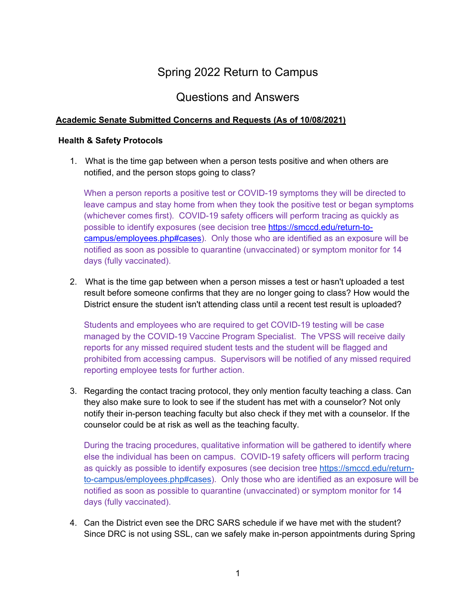# Spring 2022 Return to Campus

## Questions and Answers

#### **Academic Senate Submitted Concerns and Requests (As of 10/08/2021)**

#### **Health & Safety Protocols**

1. What is the time gap between when a person tests positive and when others are notified, and the person stops going to class?

When a person reports a positive test or COVID-19 symptoms they will be directed to leave campus and stay home from when they took the positive test or began symptoms (whichever comes first). COVID-19 safety officers will perform tracing as quickly as possible to identify exposures (see decision tree https://smccd.edu/return-tocampus/employees.php#cases). Only those who are identified as an exposure will be notified as soon as possible to quarantine (unvaccinated) or symptom monitor for 14 days (fully vaccinated).

2. What is the time gap between when a person misses a test or hasn't uploaded a test result before someone confirms that they are no longer going to class? How would the District ensure the student isn't attending class until a recent test result is uploaded?

Students and employees who are required to get COVID-19 testing will be case managed by the COVID-19 Vaccine Program Specialist. The VPSS will receive daily reports for any missed required student tests and the student will be flagged and prohibited from accessing campus. Supervisors will be notified of any missed required reporting employee tests for further action.

3. Regarding the contact tracing protocol, they only mention faculty teaching a class. Can they also make sure to look to see if the student has met with a counselor? Not only notify their in-person teaching faculty but also check if they met with a counselor. If the counselor could be at risk as well as the teaching faculty.

During the tracing procedures, qualitative information will be gathered to identify where else the individual has been on campus. COVID-19 safety officers will perform tracing as quickly as possible to identify exposures (see decision tree https://smccd.edu/returnto-campus/employees.php#cases). Only those who are identified as an exposure will be notified as soon as possible to quarantine (unvaccinated) or symptom monitor for 14 days (fully vaccinated).

4. Can the District even see the DRC SARS schedule if we have met with the student? Since DRC is not using SSL, can we safely make in-person appointments during Spring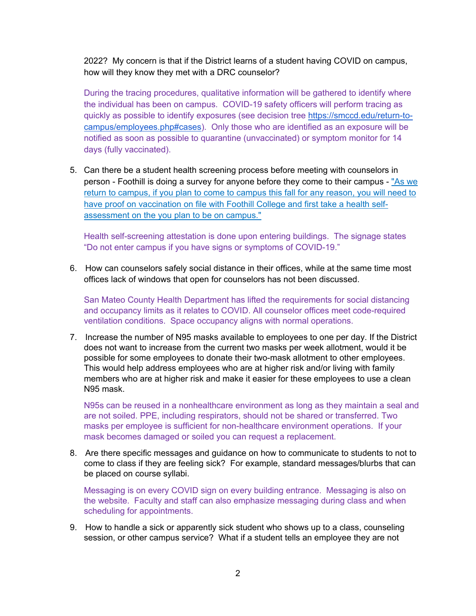2022? My concern is that if the District learns of a student having COVID on campus, how will they know they met with a DRC counselor?

During the tracing procedures, qualitative information will be gathered to identify where the individual has been on campus. COVID-19 safety officers will perform tracing as quickly as possible to identify exposures (see decision tree https://smccd.edu/return-tocampus/employees.php#cases). Only those who are identified as an exposure will be notified as soon as possible to quarantine (unvaccinated) or symptom monitor for 14 days (fully vaccinated).

5. Can there be a student health screening process before meeting with counselors in person - Foothill is doing a survey for anyone before they come to their campus - "As we return to campus, if you plan to come to campus this fall for any reason, you will need to have proof on vaccination on file with Foothill College and first take a health selfassessment on the you plan to be on campus."

Health self-screening attestation is done upon entering buildings. The signage states "Do not enter campus if you have signs or symptoms of COVID-19."

6. How can counselors safely social distance in their offices, while at the same time most offices lack of windows that open for counselors has not been discussed.

San Mateo County Health Department has lifted the requirements for social distancing and occupancy limits as it relates to COVID. All counselor offices meet code-required ventilation conditions. Space occupancy aligns with normal operations.

7. Increase the number of N95 masks available to employees to one per day. If the District does not want to increase from the current two masks per week allotment, would it be possible for some employees to donate their two-mask allotment to other employees. This would help address employees who are at higher risk and/or living with family members who are at higher risk and make it easier for these employees to use a clean N95 mask.

N95s can be reused in a nonhealthcare environment as long as they maintain a seal and are not soiled. PPE, including respirators, should not be shared or transferred. Two masks per employee is sufficient for non-healthcare environment operations. If your mask becomes damaged or soiled you can request a replacement.

8. Are there specific messages and guidance on how to communicate to students to not to come to class if they are feeling sick? For example, standard messages/blurbs that can be placed on course syllabi.

Messaging is on every COVID sign on every building entrance. Messaging is also on the website. Faculty and staff can also emphasize messaging during class and when scheduling for appointments.

9. How to handle a sick or apparently sick student who shows up to a class, counseling session, or other campus service? What if a student tells an employee they are not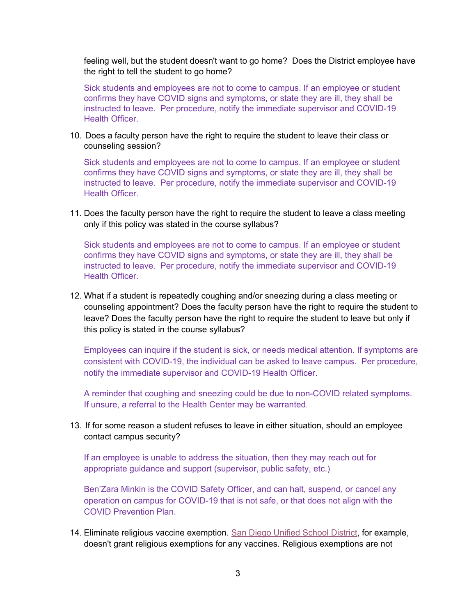feeling well, but the student doesn't want to go home? Does the District employee have the right to tell the student to go home?

Sick students and employees are not to come to campus. If an employee or student confirms they have COVID signs and symptoms, or state they are ill, they shall be instructed to leave. Per procedure, notify the immediate supervisor and COVID-19 Health Officer.

10. Does a faculty person have the right to require the student to leave their class or counseling session?

Sick students and employees are not to come to campus. If an employee or student confirms they have COVID signs and symptoms, or state they are ill, they shall be instructed to leave. Per procedure, notify the immediate supervisor and COVID-19 Health Officer.

11. Does the faculty person have the right to require the student to leave a class meeting only if this policy was stated in the course syllabus?

Sick students and employees are not to come to campus. If an employee or student confirms they have COVID signs and symptoms, or state they are ill, they shall be instructed to leave. Per procedure, notify the immediate supervisor and COVID-19 Health Officer.

12. What if a student is repeatedly coughing and/or sneezing during a class meeting or counseling appointment? Does the faculty person have the right to require the student to leave? Does the faculty person have the right to require the student to leave but only if this policy is stated in the course syllabus?

Employees can inquire if the student is sick, or needs medical attention. If symptoms are consistent with COVID-19, the individual can be asked to leave campus. Per procedure, notify the immediate supervisor and COVID-19 Health Officer.

A reminder that coughing and sneezing could be due to non-COVID related symptoms. If unsure, a referral to the Health Center may be warranted.

13. If for some reason a student refuses to leave in either situation, should an employee contact campus security?

If an employee is unable to address the situation, then they may reach out for appropriate guidance and support (supervisor, public safety, etc.)

Ben'Zara Minkin is the COVID Safety Officer, and can halt, suspend, or cancel any operation on campus for COVID-19 that is not safe, or that does not align with the COVID Prevention Plan.

14. Eliminate religious vaccine exemption. San Diego Unified School District, for example, doesn't grant religious exemptions for any vaccines. Religious exemptions are not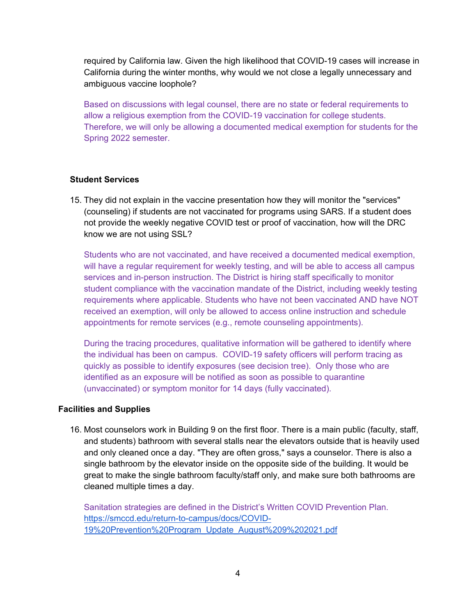required by California law. Given the high likelihood that COVID-19 cases will increase in California during the winter months, why would we not close a legally unnecessary and ambiguous vaccine loophole?

Based on discussions with legal counsel, there are no state or federal requirements to allow a religious exemption from the COVID-19 vaccination for college students. Therefore, we will only be allowing a documented medical exemption for students for the Spring 2022 semester.

#### **Student Services**

15. They did not explain in the vaccine presentation how they will monitor the "services" (counseling) if students are not vaccinated for programs using SARS. If a student does not provide the weekly negative COVID test or proof of vaccination, how will the DRC know we are not using SSL?

Students who are not vaccinated, and have received a documented medical exemption, will have a regular requirement for weekly testing, and will be able to access all campus services and in-person instruction. The District is hiring staff specifically to monitor student compliance with the vaccination mandate of the District, including weekly testing requirements where applicable. Students who have not been vaccinated AND have NOT received an exemption, will only be allowed to access online instruction and schedule appointments for remote services (e.g., remote counseling appointments).

During the tracing procedures, qualitative information will be gathered to identify where the individual has been on campus. COVID-19 safety officers will perform tracing as quickly as possible to identify exposures (see decision tree). Only those who are identified as an exposure will be notified as soon as possible to quarantine (unvaccinated) or symptom monitor for 14 days (fully vaccinated).

#### **Facilities and Supplies**

16. Most counselors work in Building 9 on the first floor. There is a main public (faculty, staff, and students) bathroom with several stalls near the elevators outside that is heavily used and only cleaned once a day. "They are often gross," says a counselor. There is also a single bathroom by the elevator inside on the opposite side of the building. It would be great to make the single bathroom faculty/staff only, and make sure both bathrooms are cleaned multiple times a day.

Sanitation strategies are defined in the District's Written COVID Prevention Plan. https://smccd.edu/return-to-campus/docs/COVID-19%20Prevention%20Program\_Update\_August%209%202021.pdf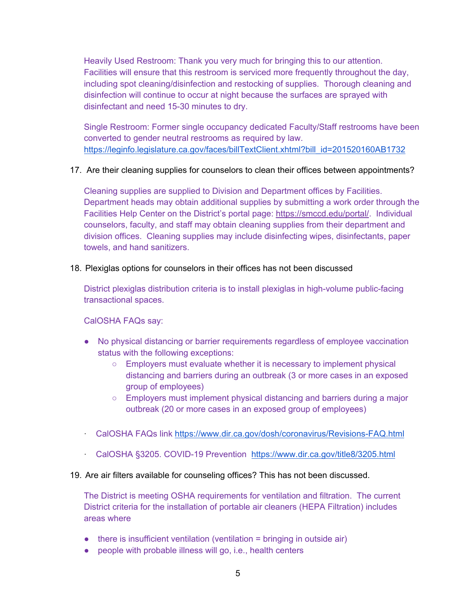Heavily Used Restroom: Thank you very much for bringing this to our attention. Facilities will ensure that this restroom is serviced more frequently throughout the day, including spot cleaning/disinfection and restocking of supplies. Thorough cleaning and disinfection will continue to occur at night because the surfaces are sprayed with disinfectant and need 15-30 minutes to dry.

Single Restroom: Former single occupancy dedicated Faculty/Staff restrooms have been converted to gender neutral restrooms as required by law. https://leginfo.legislature.ca.gov/faces/billTextClient.xhtml?bill\_id=201520160AB1732

#### 17. Are their cleaning supplies for counselors to clean their offices between appointments?

Cleaning supplies are supplied to Division and Department offices by Facilities. Department heads may obtain additional supplies by submitting a work order through the Facilities Help Center on the District's portal page: https://smccd.edu/portal/. Individual counselors, faculty, and staff may obtain cleaning supplies from their department and division offices. Cleaning supplies may include disinfecting wipes, disinfectants, paper towels, and hand sanitizers.

#### 18. Plexiglas options for counselors in their offices has not been discussed

District plexiglas distribution criteria is to install plexiglas in high-volume public-facing transactional spaces.

#### CalOSHA FAQs say:

- No physical distancing or barrier requirements regardless of employee vaccination status with the following exceptions:
	- Employers must evaluate whether it is necessary to implement physical distancing and barriers during an outbreak (3 or more cases in an exposed group of employees)
	- Employers must implement physical distancing and barriers during a major outbreak (20 or more cases in an exposed group of employees)
- ꞏ CalOSHA FAQs link https://www.dir.ca.gov/dosh/coronavirus/Revisions-FAQ.html
- ꞏ CalOSHA §3205. COVID-19 Prevention https://www.dir.ca.gov/title8/3205.html

#### 19. Are air filters available for counseling offices? This has not been discussed.

The District is meeting OSHA requirements for ventilation and filtration. The current District criteria for the installation of portable air cleaners (HEPA Filtration) includes areas where

- there is insufficient ventilation (ventilation = bringing in outside air)
- people with probable illness will go, i.e., health centers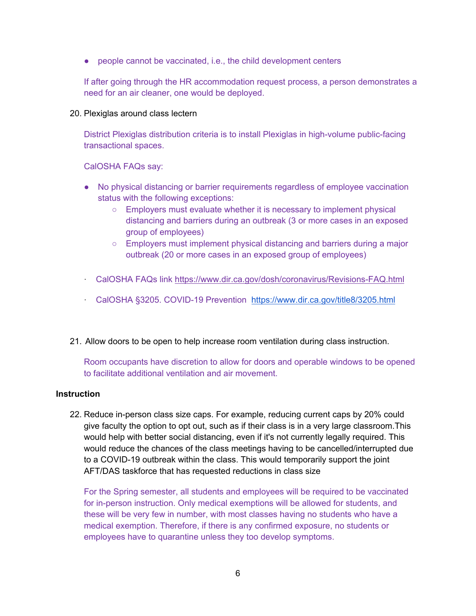● people cannot be vaccinated, i.e., the child development centers

If after going through the HR accommodation request process, a person demonstrates a need for an air cleaner, one would be deployed.

20. Plexiglas around class lectern

District Plexiglas distribution criteria is to install Plexiglas in high-volume public-facing transactional spaces.

CalOSHA FAQs say:

- No physical distancing or barrier requirements regardless of employee vaccination status with the following exceptions:
	- Employers must evaluate whether it is necessary to implement physical distancing and barriers during an outbreak (3 or more cases in an exposed group of employees)
	- Employers must implement physical distancing and barriers during a major outbreak (20 or more cases in an exposed group of employees)
- ꞏ CalOSHA FAQs link https://www.dir.ca.gov/dosh/coronavirus/Revisions-FAQ.html
- ꞏ CalOSHA §3205. COVID-19 Prevention https://www.dir.ca.gov/title8/3205.html
- 21. Allow doors to be open to help increase room ventilation during class instruction.

Room occupants have discretion to allow for doors and operable windows to be opened to facilitate additional ventilation and air movement.

#### **Instruction**

22. Reduce in-person class size caps. For example, reducing current caps by 20% could give faculty the option to opt out, such as if their class is in a very large classroom.This would help with better social distancing, even if it's not currently legally required. This would reduce the chances of the class meetings having to be cancelled/interrupted due to a COVID-19 outbreak within the class. This would temporarily support the joint AFT/DAS taskforce that has requested reductions in class size

For the Spring semester, all students and employees will be required to be vaccinated for in-person instruction. Only medical exemptions will be allowed for students, and these will be very few in number, with most classes having no students who have a medical exemption. Therefore, if there is any confirmed exposure, no students or employees have to quarantine unless they too develop symptoms.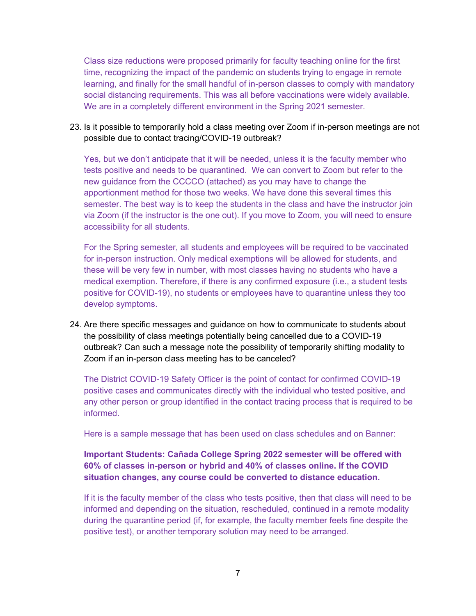Class size reductions were proposed primarily for faculty teaching online for the first time, recognizing the impact of the pandemic on students trying to engage in remote learning, and finally for the small handful of in-person classes to comply with mandatory social distancing requirements. This was all before vaccinations were widely available. We are in a completely different environment in the Spring 2021 semester.

#### 23. Is it possible to temporarily hold a class meeting over Zoom if in-person meetings are not possible due to contact tracing/COVID-19 outbreak?

Yes, but we don't anticipate that it will be needed, unless it is the faculty member who tests positive and needs to be quarantined. We can convert to Zoom but refer to the new guidance from the CCCCO (attached) as you may have to change the apportionment method for those two weeks. We have done this several times this semester. The best way is to keep the students in the class and have the instructor join via Zoom (if the instructor is the one out). If you move to Zoom, you will need to ensure accessibility for all students.

For the Spring semester, all students and employees will be required to be vaccinated for in-person instruction. Only medical exemptions will be allowed for students, and these will be very few in number, with most classes having no students who have a medical exemption. Therefore, if there is any confirmed exposure (i.e., a student tests positive for COVID-19), no students or employees have to quarantine unless they too develop symptoms.

24. Are there specific messages and guidance on how to communicate to students about the possibility of class meetings potentially being cancelled due to a COVID-19 outbreak? Can such a message note the possibility of temporarily shifting modality to Zoom if an in-person class meeting has to be canceled?

The District COVID-19 Safety Officer is the point of contact for confirmed COVID-19 positive cases and communicates directly with the individual who tested positive, and any other person or group identified in the contact tracing process that is required to be informed.

Here is a sample message that has been used on class schedules and on Banner:

### **Important Students: Cañada College Spring 2022 semester will be offered with 60% of classes in-person or hybrid and 40% of classes online. If the COVID situation changes, any course could be converted to distance education.**

If it is the faculty member of the class who tests positive, then that class will need to be informed and depending on the situation, rescheduled, continued in a remote modality during the quarantine period (if, for example, the faculty member feels fine despite the positive test), or another temporary solution may need to be arranged.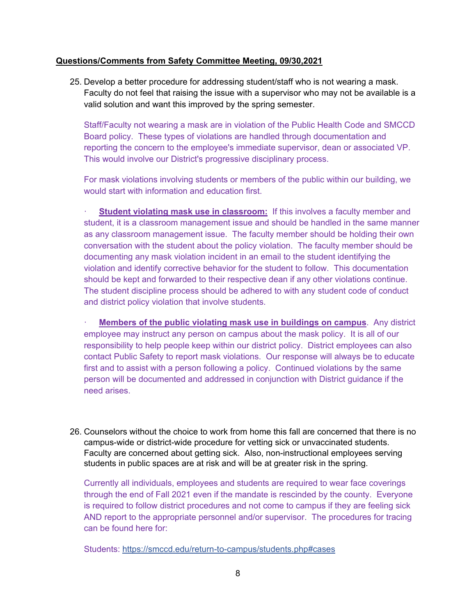#### **Questions/Comments from Safety Committee Meeting, 09/30,2021**

25. Develop a better procedure for addressing student/staff who is not wearing a mask. Faculty do not feel that raising the issue with a supervisor who may not be available is a valid solution and want this improved by the spring semester.

Staff/Faculty not wearing a mask are in violation of the Public Health Code and SMCCD Board policy. These types of violations are handled through documentation and reporting the concern to the employee's immediate supervisor, dean or associated VP. This would involve our District's progressive disciplinary process.

For mask violations involving students or members of the public within our building, we would start with information and education first.

**Student violating mask use in classroom:** If this involves a faculty member and student, it is a classroom management issue and should be handled in the same manner as any classroom management issue. The faculty member should be holding their own conversation with the student about the policy violation. The faculty member should be documenting any mask violation incident in an email to the student identifying the violation and identify corrective behavior for the student to follow. This documentation should be kept and forwarded to their respective dean if any other violations continue. The student discipline process should be adhered to with any student code of conduct and district policy violation that involve students.

**Members of the public violating mask use in buildings on campus.** Any district employee may instruct any person on campus about the mask policy. It is all of our responsibility to help people keep within our district policy. District employees can also contact Public Safety to report mask violations. Our response will always be to educate first and to assist with a person following a policy. Continued violations by the same person will be documented and addressed in conjunction with District guidance if the need arises.

26. Counselors without the choice to work from home this fall are concerned that there is no campus-wide or district-wide procedure for vetting sick or unvaccinated students. Faculty are concerned about getting sick. Also, non-instructional employees serving students in public spaces are at risk and will be at greater risk in the spring.

Currently all individuals, employees and students are required to wear face coverings through the end of Fall 2021 even if the mandate is rescinded by the county. Everyone is required to follow district procedures and not come to campus if they are feeling sick AND report to the appropriate personnel and/or supervisor. The procedures for tracing can be found here for:

Students: https://smccd.edu/return-to-campus/students.php#cases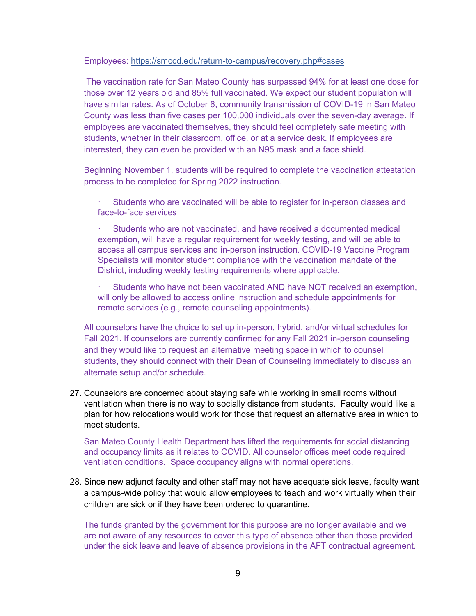#### Employees: https://smccd.edu/return-to-campus/recovery.php#cases

 The vaccination rate for San Mateo County has surpassed 94% for at least one dose for those over 12 years old and 85% full vaccinated. We expect our student population will have similar rates. As of October 6, community transmission of COVID-19 in San Mateo County was less than five cases per 100,000 individuals over the seven-day average. If employees are vaccinated themselves, they should feel completely safe meeting with students, whether in their classroom, office, or at a service desk. If employees are interested, they can even be provided with an N95 mask and a face shield.

Beginning November 1, students will be required to complete the vaccination attestation process to be completed for Spring 2022 instruction.

Students who are vaccinated will be able to register for in-person classes and face-to-face services

ꞏ Students who are not vaccinated, and have received a documented medical exemption, will have a regular requirement for weekly testing, and will be able to access all campus services and in-person instruction. COVID-19 Vaccine Program Specialists will monitor student compliance with the vaccination mandate of the District, including weekly testing requirements where applicable.

Students who have not been vaccinated AND have NOT received an exemption, will only be allowed to access online instruction and schedule appointments for remote services (e.g., remote counseling appointments).

All counselors have the choice to set up in-person, hybrid, and/or virtual schedules for Fall 2021. If counselors are currently confirmed for any Fall 2021 in-person counseling and they would like to request an alternative meeting space in which to counsel students, they should connect with their Dean of Counseling immediately to discuss an alternate setup and/or schedule.

27. Counselors are concerned about staying safe while working in small rooms without ventilation when there is no way to socially distance from students. Faculty would like a plan for how relocations would work for those that request an alternative area in which to meet students.

San Mateo County Health Department has lifted the requirements for social distancing and occupancy limits as it relates to COVID. All counselor offices meet code required ventilation conditions. Space occupancy aligns with normal operations.

28. Since new adjunct faculty and other staff may not have adequate sick leave, faculty want a campus-wide policy that would allow employees to teach and work virtually when their children are sick or if they have been ordered to quarantine.

The funds granted by the government for this purpose are no longer available and we are not aware of any resources to cover this type of absence other than those provided under the sick leave and leave of absence provisions in the AFT contractual agreement.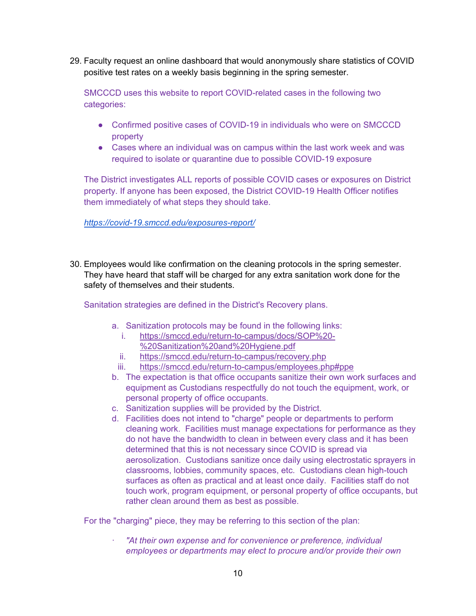29. Faculty request an online dashboard that would anonymously share statistics of COVID positive test rates on a weekly basis beginning in the spring semester.

SMCCCD uses this website to report COVID-related cases in the following two categories:

- Confirmed positive cases of COVID-19 in individuals who were on SMCCCD property
- Cases where an individual was on campus within the last work week and was required to isolate or quarantine due to possible COVID-19 exposure

The District investigates ALL reports of possible COVID cases or exposures on District property. If anyone has been exposed, the District COVID-19 Health Officer notifies them immediately of what steps they should take.

*https://covid-19.smccd.edu/exposures-report/*

30. Employees would like confirmation on the cleaning protocols in the spring semester. They have heard that staff will be charged for any extra sanitation work done for the safety of themselves and their students.

Sanitation strategies are defined in the District's Recovery plans.

- a. Sanitization protocols may be found in the following links:
	- i. https://smccd.edu/return-to-campus/docs/SOP%20- %20Sanitization%20and%20Hygiene.pdf
	- ii. https://smccd.edu/return-to-campus/recovery.php
	- iii. https://smccd.edu/return-to-campus/employees.php#ppe
- b. The expectation is that office occupants sanitize their own work surfaces and equipment as Custodians respectfully do not touch the equipment, work, or personal property of office occupants.
- c. Sanitization supplies will be provided by the District.
- d. Facilities does not intend to "charge" people or departments to perform cleaning work. Facilities must manage expectations for performance as they do not have the bandwidth to clean in between every class and it has been determined that this is not necessary since COVID is spread via aerosolization. Custodians sanitize once daily using electrostatic sprayers in classrooms, lobbies, community spaces, etc. Custodians clean high-touch surfaces as often as practical and at least once daily. Facilities staff do not touch work, program equipment, or personal property of office occupants, but rather clean around them as best as possible.

For the "charging" piece, they may be referring to this section of the plan:

ꞏ *"At their own expense and for convenience or preference, individual employees or departments may elect to procure and/or provide their own*